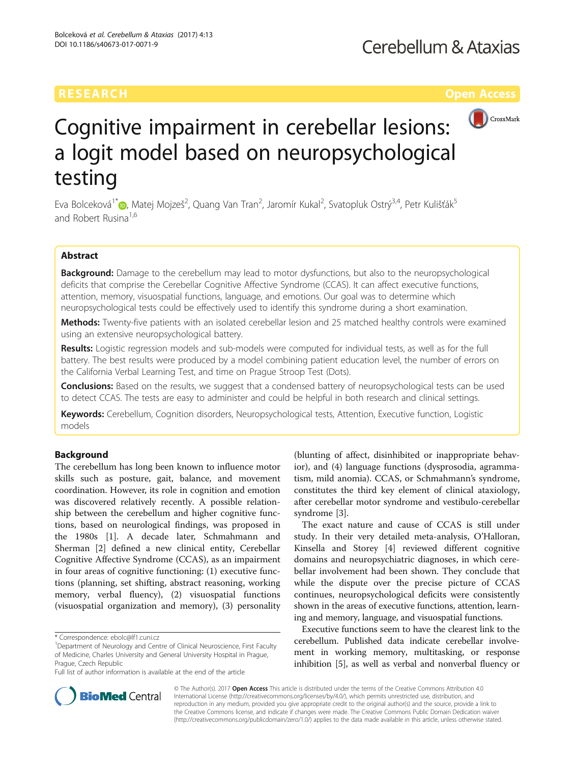

# Cognitive impairment in cerebellar lesions: a logit model based on neuropsychological testing

Eva Bolceková<sup>1\*</sup>®, Matej Mojzeš<sup>2</sup>, Quang Van Tran<sup>2</sup>, Jaromír Kukal<sup>2</sup>, Svatopluk Ostrý<sup>3,4</sup>, Petr Kulišťák<sup>5</sup> and Robert Rusina<sup>1,6</sup>

# Abstract

Background: Damage to the cerebellum may lead to motor dysfunctions, but also to the neuropsychological deficits that comprise the Cerebellar Cognitive Affective Syndrome (CCAS). It can affect executive functions, attention, memory, visuospatial functions, language, and emotions. Our goal was to determine which neuropsychological tests could be effectively used to identify this syndrome during a short examination.

Methods: Twenty-five patients with an isolated cerebellar lesion and 25 matched healthy controls were examined using an extensive neuropsychological battery.

Results: Logistic regression models and sub-models were computed for individual tests, as well as for the full battery. The best results were produced by a model combining patient education level, the number of errors on the California Verbal Learning Test, and time on Prague Stroop Test (Dots).

**Conclusions:** Based on the results, we suggest that a condensed battery of neuropsychological tests can be used to detect CCAS. The tests are easy to administer and could be helpful in both research and clinical settings.

Keywords: Cerebellum, Cognition disorders, Neuropsychological tests, Attention, Executive function, Logistic models

# Background

The cerebellum has long been known to influence motor skills such as posture, gait, balance, and movement coordination. However, its role in cognition and emotion was discovered relatively recently. A possible relationship between the cerebellum and higher cognitive functions, based on neurological findings, was proposed in the 1980s [[1\]](#page-9-0). A decade later, Schmahmann and Sherman [[2\]](#page-9-0) defined a new clinical entity, Cerebellar Cognitive Affective Syndrome (CCAS), as an impairment in four areas of cognitive functioning: (1) executive functions (planning, set shifting, abstract reasoning, working memory, verbal fluency), (2) visuospatial functions (visuospatial organization and memory), (3) personality

(blunting of affect, disinhibited or inappropriate behavior), and (4) language functions (dysprosodia, agrammatism, mild anomia). CCAS, or Schmahmann's syndrome, constitutes the third key element of clinical ataxiology, after cerebellar motor syndrome and vestibulo-cerebellar syndrome [\[3\]](#page-9-0).

The exact nature and cause of CCAS is still under study. In their very detailed meta-analysis, O'Halloran, Kinsella and Storey [[4\]](#page-9-0) reviewed different cognitive domains and neuropsychiatric diagnoses, in which cerebellar involvement had been shown. They conclude that while the dispute over the precise picture of CCAS continues, neuropsychological deficits were consistently shown in the areas of executive functions, attention, learning and memory, language, and visuospatial functions.

Executive functions seem to have the clearest link to the cerebellum. Published data indicate cerebellar involvement in working memory, multitasking, or response inhibition [\[5](#page-9-0)], as well as verbal and nonverbal fluency or



© The Author(s). 2017 **Open Access** This article is distributed under the terms of the Creative Commons Attribution 4.0 International License [\(http://creativecommons.org/licenses/by/4.0/](http://creativecommons.org/licenses/by/4.0/)), which permits unrestricted use, distribution, and reproduction in any medium, provided you give appropriate credit to the original author(s) and the source, provide a link to the Creative Commons license, and indicate if changes were made. The Creative Commons Public Domain Dedication waiver [\(http://creativecommons.org/publicdomain/zero/1.0/](http://creativecommons.org/publicdomain/zero/1.0/)) applies to the data made available in this article, unless otherwise stated.

<sup>\*</sup> Correspondence: [ebolc@lf1.cuni.cz](mailto:ebolc@lf1.cuni.cz) <sup>1</sup>

<sup>&</sup>lt;sup>1</sup>Department of Neurology and Centre of Clinical Neuroscience, First Faculty of Medicine, Charles University and General University Hospital in Prague, Prague, Czech Republic

Full list of author information is available at the end of the article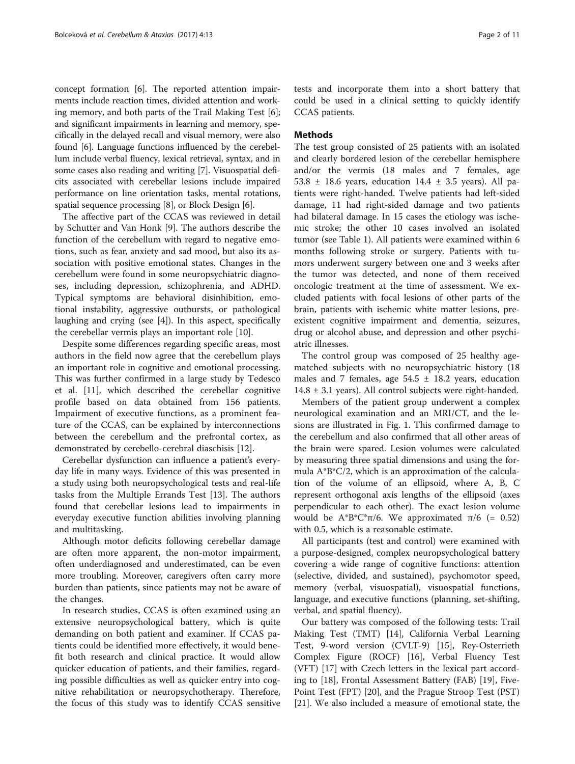concept formation [\[6](#page-9-0)]. The reported attention impairments include reaction times, divided attention and working memory, and both parts of the Trail Making Test [[6](#page-9-0)]; and significant impairments in learning and memory, specifically in the delayed recall and visual memory, were also found [\[6\]](#page-9-0). Language functions influenced by the cerebellum include verbal fluency, lexical retrieval, syntax, and in some cases also reading and writing [[7\]](#page-9-0). Visuospatial deficits associated with cerebellar lesions include impaired performance on line orientation tasks, mental rotations, spatial sequence processing [[8\]](#page-9-0), or Block Design [\[6\]](#page-9-0).

The affective part of the CCAS was reviewed in detail by Schutter and Van Honk [\[9\]](#page-9-0). The authors describe the function of the cerebellum with regard to negative emotions, such as fear, anxiety and sad mood, but also its association with positive emotional states. Changes in the cerebellum were found in some neuropsychiatric diagnoses, including depression, schizophrenia, and ADHD. Typical symptoms are behavioral disinhibition, emotional instability, aggressive outbursts, or pathological laughing and crying (see [\[4](#page-9-0)]). In this aspect, specifically the cerebellar vermis plays an important role [\[10](#page-9-0)].

Despite some differences regarding specific areas, most authors in the field now agree that the cerebellum plays an important role in cognitive and emotional processing. This was further confirmed in a large study by Tedesco et al. [[11\]](#page-9-0), which described the cerebellar cognitive profile based on data obtained from 156 patients. Impairment of executive functions, as a prominent feature of the CCAS, can be explained by interconnections between the cerebellum and the prefrontal cortex, as demonstrated by cerebello-cerebral diaschisis [[12](#page-9-0)].

Cerebellar dysfunction can influence a patient's everyday life in many ways. Evidence of this was presented in a study using both neuropsychological tests and real-life tasks from the Multiple Errands Test [[13](#page-9-0)]. The authors found that cerebellar lesions lead to impairments in everyday executive function abilities involving planning and multitasking.

Although motor deficits following cerebellar damage are often more apparent, the non-motor impairment, often underdiagnosed and underestimated, can be even more troubling. Moreover, caregivers often carry more burden than patients, since patients may not be aware of the changes.

In research studies, CCAS is often examined using an extensive neuropsychological battery, which is quite demanding on both patient and examiner. If CCAS patients could be identified more effectively, it would benefit both research and clinical practice. It would allow quicker education of patients, and their families, regarding possible difficulties as well as quicker entry into cognitive rehabilitation or neuropsychotherapy. Therefore, the focus of this study was to identify CCAS sensitive tests and incorporate them into a short battery that could be used in a clinical setting to quickly identify CCAS patients.

## Methods

The test group consisted of 25 patients with an isolated and clearly bordered lesion of the cerebellar hemisphere and/or the vermis (18 males and 7 females, age 53.8  $\pm$  18.6 years, education 14.4  $\pm$  3.5 years). All patients were right-handed. Twelve patients had left-sided damage, 11 had right-sided damage and two patients had bilateral damage. In 15 cases the etiology was ischemic stroke; the other 10 cases involved an isolated tumor (see Table [1](#page-2-0)). All patients were examined within 6 months following stroke or surgery. Patients with tumors underwent surgery between one and 3 weeks after the tumor was detected, and none of them received oncologic treatment at the time of assessment. We excluded patients with focal lesions of other parts of the brain, patients with ischemic white matter lesions, preexistent cognitive impairment and dementia, seizures, drug or alcohol abuse, and depression and other psychiatric illnesses.

The control group was composed of 25 healthy agematched subjects with no neuropsychiatric history (18 males and 7 females, age  $54.5 \pm 18.2$  years, education  $14.8 \pm 3.1$  years). All control subjects were right-handed.

Members of the patient group underwent a complex neurological examination and an MRI/CT, and the lesions are illustrated in Fig. [1](#page-2-0). This confirmed damage to the cerebellum and also confirmed that all other areas of the brain were spared. Lesion volumes were calculated by measuring three spatial dimensions and using the formula A\*B\*C/2, which is an approximation of the calculation of the volume of an ellipsoid, where A, B, C represent orthogonal axis lengths of the ellipsoid (axes perpendicular to each other). The exact lesion volume would be  $A^*B^*C^*\pi/6$ . We approximated  $\pi/6$  (= 0.52) with 0.5, which is a reasonable estimate.

All participants (test and control) were examined with a purpose-designed, complex neuropsychological battery covering a wide range of cognitive functions: attention (selective, divided, and sustained), psychomotor speed, memory (verbal, visuospatial), visuospatial functions, language, and executive functions (planning, set-shifting, verbal, and spatial fluency).

Our battery was composed of the following tests: Trail Making Test (TMT) [\[14](#page-9-0)], California Verbal Learning Test, 9-word version (CVLT-9) [[15\]](#page-9-0), Rey-Osterrieth Complex Figure (ROCF) [\[16\]](#page-9-0), Verbal Fluency Test (VFT) [\[17](#page-9-0)] with Czech letters in the lexical part according to [\[18](#page-9-0)], Frontal Assessment Battery (FAB) [\[19\]](#page-9-0), Five-Point Test (FPT) [\[20](#page-9-0)], and the Prague Stroop Test (PST) [[21\]](#page-9-0). We also included a measure of emotional state, the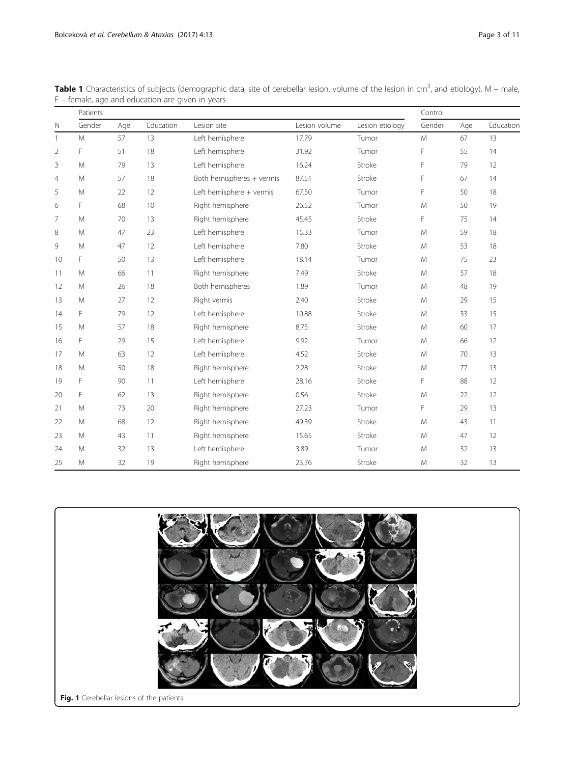|                | Patients |     |           |                           |               | Control         |        |     |           |
|----------------|----------|-----|-----------|---------------------------|---------------|-----------------|--------|-----|-----------|
| N              | Gender   | Age | Education | Lesion site               | Lesion volume | Lesion etiology | Gender | Age | Education |
| 1              | M        | 57  | 13        | Left hemisphere           | 17.79         | Tumor           | M      | 67  | 13        |
| 2              | F        | 51  | 18        | Left hemisphere           | 31.92         | Tumor           | F      | 55  | 14        |
| 3              | M        | 79  | 13        | Left hemisphere           | 16.24         | Stroke          | F      | 79  | 12        |
| $\overline{4}$ | M        | 57  | 18        | Both hemispheres + vermis | 87.51         | Stroke          | F      | 67  | 14        |
| 5              | M        | 22  | 12        | Left hemisphere + vermis  | 67.50         | Tumor           | F      | 50  | 18        |
| 6              | F        | 68  | 10        | Right hemisphere          | 26.52         | Tumor           | M      | 50  | 19        |
| 7              | M        | 70  | 13        | Right hemisphere          | 45.45         | Stroke          | F      | 75  | 14        |
| 8              | M        | 47  | 23        | Left hemisphere           | 15.33         | Tumor           | M      | 59  | 18        |
| 9              | M        | 47  | 12        | Left hemisphere           | 7.80          | Stroke          | M      | 53  | 18        |
| 10             | F        | 50  | 13        | Left hemisphere           | 18.14         | Tumor           | M      | 75  | 23        |
| 11             | M        | 66  | 11        | Right hemisphere          | 7.49          | Stroke          | M      | 57  | 18        |
| 12             | M        | 26  | 18        | Both hemispheres          | 1.89          | Tumor           | M      | 48  | 19        |
| 13             | M        | 27  | 12        | Right vermis              | 2.40          | Stroke          | M      | 29  | 15        |
| 14             | F        | 79  | 12        | Left hemisphere           | 10.88         | Stroke          | M      | 33  | 15        |
| 15             | M        | 57  | 18        | Right hemisphere          | 8.75          | Stroke          | M      | 60  | 17        |
| 16             | F        | 29  | 15        | Left hemisphere           | 9.92          | Tumor           | M      | 66  | 12        |
| 17             | M        | 63  | 12        | Left hemisphere           | 4.52          | Stroke          | M      | 70  | 13        |
| 18             | M        | 50  | 18        | Right hemisphere          | 2.28          | Stroke          | M      | 77  | 13        |
| 19             | F        | 90  | 11        | Left hemisphere           | 28.16         | Stroke          | F      | 88  | 12        |
| 20             | F        | 62  | 13        | Right hemisphere          | 0.56          | Stroke          | M      | 22  | 12        |
| 21             | M        | 73  | 20        | Right hemisphere          | 27.23         | Tumor           | F      | 29  | 13        |
| 22             | M        | 68  | 12        | Right hemisphere          | 49.39         | Stroke          | M      | 43  | 11        |
| 23             | M        | 43  | 11        | Right hemisphere          | 15.65         | Stroke          | M      | 47  | 12        |
| 24             | M        | 32  | 13        | Left hemisphere           | 3.89          | Tumor           | M      | 32  | 13        |
| 25             | M        | 32  | 19        | Right hemisphere          | 23.76         | Stroke          | M      | 32  | 13        |

<span id="page-2-0"></span>Table 1 Characteristics of subjects (demographic data, site of cerebellar lesion, volume of the lesion in cm<sup>3</sup>, and etiology). M – male, F – female, age and education are given in years

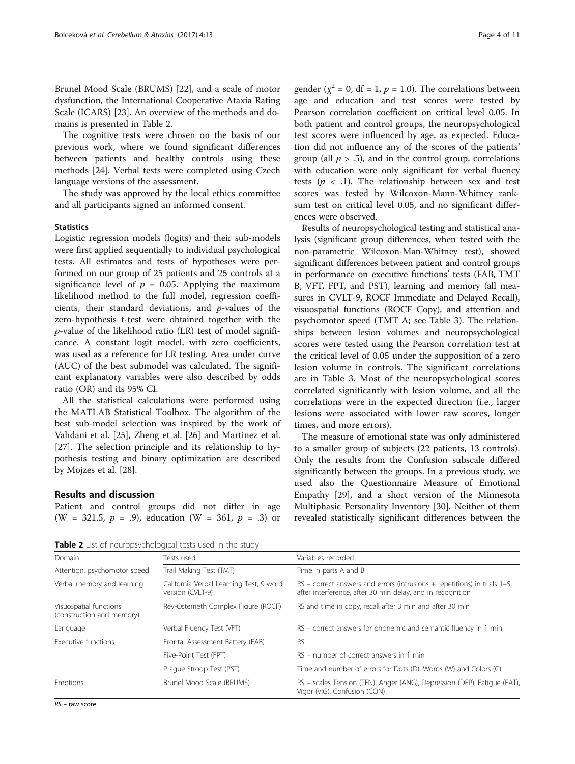Brunel Mood Scale (BRUMS) [[22\]](#page-9-0), and a scale of motor dysfunction, the International Cooperative Ataxia Rating Scale (ICARS) [\[23\]](#page-9-0). An overview of the methods and domains is presented in Table 2.

The cognitive tests were chosen on the basis of our previous work, where we found significant differences between patients and healthy controls using these methods [[24\]](#page-9-0). Verbal tests were completed using Czech language versions of the assessment.

The study was approved by the local ethics committee and all participants signed an informed consent.

# **Statistics**

Logistic regression models (logits) and their sub-models were first applied sequentially to individual psychological tests. All estimates and tests of hypotheses were performed on our group of 25 patients and 25 controls at a significance level of  $p = 0.05$ . Applying the maximum likelihood method to the full model, regression coefficients, their standard deviations, and p-values of the zero-hypothesis t-test were obtained together with the  $p$ -value of the likelihood ratio (LR) test of model significance. A constant logit model, with zero coefficients, was used as a reference for LR testing. Area under curve (AUC) of the best submodel was calculated. The significant explanatory variables were also described by odds ratio (OR) and its 95% CI.

All the statistical calculations were performed using the MATLAB Statistical Toolbox. The algorithm of the best sub-model selection was inspired by the work of Vahdani et al. [\[25](#page-9-0)], Zheng et al. [\[26\]](#page-9-0) and Martinez et al. [[27\]](#page-9-0). The selection principle and its relationship to hypothesis testing and binary optimization are described by Mojzes et al. [[28\]](#page-9-0).

# Results and discussion

Patient and control groups did not differ in age (W = 321.5,  $p = .9$ ), education (W = 361,  $p = .3$ ) or

gender ( $\chi^2$  = 0, df = 1, p = 1.0). The correlations between age and education and test scores were tested by Pearson correlation coefficient on critical level 0.05. In both patient and control groups, the neuropsychological test scores were influenced by age, as expected. Education did not influence any of the scores of the patients' group (all  $p > .5$ ), and in the control group, correlations with education were only significant for verbal fluency tests ( $p \lt 1$ ). The relationship between sex and test scores was tested by Wilcoxon-Mann-Whitney ranksum test on critical level 0.05, and no significant differences were observed.

Results of neuropsychological testing and statistical analysis (significant group differences, when tested with the non-parametric Wilcoxon-Man-Whitney test), showed significant differences between patient and control groups in performance on executive functions' tests (FAB, TMT B, VFT, FPT, and PST), learning and memory (all measures in CVLT-9, ROCF Immediate and Delayed Recall), visuospatial functions (ROCF Copy), and attention and psychomotor speed (TMT A; see Table [3](#page-4-0)). The relationships between lesion volumes and neuropsychological scores were tested using the Pearson correlation test at the critical level of 0.05 under the supposition of a zero lesion volume in controls. The significant correlations are in Table [3](#page-4-0). Most of the neuropsychological scores correlated significantly with lesion volume, and all the correlations were in the expected direction (i.e., larger lesions were associated with lower raw scores, longer times, and more errors).

The measure of emotional state was only administered to a smaller group of subjects (22 patients, 13 controls). Only the results from the Confusion subscale differed significantly between the groups. In a previous study, we used also the Questionnaire Measure of Emotional Empathy [[29\]](#page-9-0), and a short version of the Minnesota Multiphasic Personality Inventory [\[30\]](#page-9-0). Neither of them revealed statistically significant differences between the

|  |  | Table 2 List of neuropsychological tests used in the study |
|--|--|------------------------------------------------------------|
|--|--|------------------------------------------------------------|

| Domain                                              | Tests used                                                  | Variables recorded                                                                                                                        |  |  |
|-----------------------------------------------------|-------------------------------------------------------------|-------------------------------------------------------------------------------------------------------------------------------------------|--|--|
| Attention, psychomotor speed                        | Trail Making Test (TMT)                                     | Time in parts A and B                                                                                                                     |  |  |
| Verbal memory and learning                          | California Verbal Learning Test, 9-word<br>version (CVLT-9) | $RS$ – correct answers and errors (intrusions + repetitions) in trials 1–5,<br>after interference, after 30 min delay, and in recognition |  |  |
| Visuospatial functions<br>(construction and memory) | Rey-Osterrieth Complex Figure (ROCF)                        | RS and time in copy, recall after 3 min and after 30 min                                                                                  |  |  |
| Language                                            | Verbal Fluency Test (VFT)                                   | RS - correct answers for phonemic and semantic fluency in 1 min                                                                           |  |  |
| Executive functions                                 | Frontal Assessment Battery (FAB)                            | <b>RS</b>                                                                                                                                 |  |  |
|                                                     | Five-Point Test (FPT)                                       | RS – number of correct answers in 1 min                                                                                                   |  |  |
|                                                     | Prague Stroop Test (PST)                                    | Time and number of errors for Dots (D), Words (W) and Colors (C)                                                                          |  |  |
| <b>Emotions</b>                                     | Brunel Mood Scale (BRUMS)                                   | RS - scales Tension (TEN), Anger (ANG), Depression (DEP), Fatigue (FAT),<br>Vigor (VIG), Confusion (CON)                                  |  |  |

RS – raw score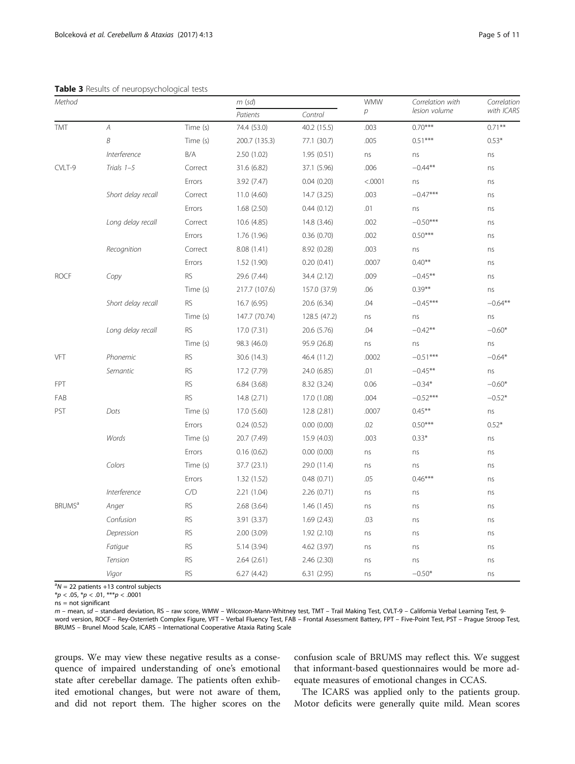<span id="page-4-0"></span>Table 3 Results of neuropsychological tests

| Method                    |                    |           | $m$ (sd)      |              | <b>WMW</b>     | Correlation with | Correlation |
|---------------------------|--------------------|-----------|---------------|--------------|----------------|------------------|-------------|
|                           |                    |           | Patients      | Control      | $\overline{p}$ | lesion volume    | with ICARS  |
| <b>TMT</b>                | A                  | Time (s)  | 74.4 (53.0)   | 40.2 (15.5)  | .003           | $0.70***$        | $0.71***$   |
|                           | B                  | Time (s)  | 200.7 (135.3) | 77.1 (30.7)  | .005           | $0.51***$        | $0.53*$     |
|                           | Interference       | B/A       | 2.50(1.02)    | 1.95(0.51)   | ns             | ns               | ns          |
| CVLT-9                    | Trials $1-5$       | Correct   | 31.6 (6.82)   | 37.1 (5.96)  | .006           | $-0.44**$        | ns          |
|                           |                    | Errors    | 3.92(7.47)    | 0.04(0.20)   | < .0001        | ns               | ns          |
|                           | Short delay recall | Correct   | 11.0(4.60)    | 14.7 (3.25)  | .003           | $-0.47***$       | ns          |
|                           |                    | Errors    | 1.68(2.50)    | 0.44(0.12)   | .01            | ns               | ns          |
|                           | Long delay recall  | Correct   | 10.6 (4.85)   | 14.8 (3.46)  | .002           | $-0.50***$       | ns          |
|                           |                    | Errors    | 1.76 (1.96)   | 0.36(0.70)   | .002           | $0.50***$        | ns          |
|                           | Recognition        | Correct   | 8.08(1.41)    | 8.92 (0.28)  | .003           | ns               | ns          |
|                           |                    | Errors    | 1.52(1.90)    | 0.20(0.41)   | .0007          | $0.40**$         | ns          |
| <b>ROCF</b>               | Copy               | <b>RS</b> | 29.6 (7.44)   | 34.4 (2.12)  | .009           | $-0.45**$        | ns          |
|                           |                    | Time (s)  | 217.7 (107.6) | 157.0 (37.9) | .06            | $0.39**$         | ns          |
|                           | Short delay recall | RS        | 16.7 (6.95)   | 20.6 (6.34)  | .04            | $-0.45***$       | $-0.64**$   |
|                           |                    | Time (s)  | 147.7 (70.74) | 128.5 (47.2) | ns             | ns               | ns          |
|                           | Long delay recall  | <b>RS</b> | 17.0 (7.31)   | 20.6 (5.76)  | .04            | $-0.42**$        | $-0.60*$    |
|                           |                    | Time (s)  | 98.3 (46.0)   | 95.9 (26.8)  | ns             | ns               | ns          |
| VFT                       | Phonemic           | <b>RS</b> | 30.6 (14.3)   | 46.4 (11.2)  | .0002          | $-0.51***$       | $-0.64*$    |
|                           | Semantic           | <b>RS</b> | 17.2 (7.79)   | 24.0 (6.85)  | .01            | $-0.45**$        | ns          |
| <b>FPT</b>                |                    | <b>RS</b> | 6.84(3.68)    | 8.32 (3.24)  | 0.06           | $-0.34*$         | $-0.60*$    |
| FAB                       |                    | <b>RS</b> | 14.8 (2.71)   | 17.0 (1.08)  | .004           | $-0.52***$       | $-0.52*$    |
| PST                       | Dots               | Time (s)  | 17.0 (5.60)   | 12.8 (2.81)  | .0007          | $0.45***$        | ns          |
|                           |                    | Errors    | 0.24(0.52)    | 0.00(0.00)   | .02            | $0.50***$        | $0.52*$     |
|                           | Words              | Time (s)  | 20.7 (7.49)   | 15.9 (4.03)  | .003           | $0.33*$          | ns          |
|                           |                    | Errors    | 0.16(0.62)    | 0.00(0.00)   | ns             | ns               | ns          |
|                           | Colors             | Time (s)  | 37.7 (23.1)   | 29.0 (11.4)  | ns             | ns               | ns          |
|                           |                    | Errors    | 1.32(1.52)    | 0.48(0.71)   | .05            | $0.46***$        | ns          |
|                           | Interference       | C/D       | 2.21(1.04)    | 2.26(0.71)   | ns             | ns               | ns          |
| <b>BRUMS</b> <sup>a</sup> | Anger              | <b>RS</b> | 2.68(3.64)    | 1.46(1.45)   | ns             | ns               | ns          |
|                           | Confusion          | <b>RS</b> | 3.91 (3.37)   | 1.69(2.43)   | .03            | ns               | ns          |
|                           | Depression         | <b>RS</b> | 2.00(3.09)    | 1.92(2.10)   | ns             | ns               | ns          |
|                           | Fatigue            | <b>RS</b> | 5.14 (3.94)   | 4.62 (3.97)  | ns             | ns               | ns          |
|                           | Tension            | <b>RS</b> | 2.64(2.61)    | 2.46(2.30)   | ns             | ns               | ns          |
|                           | Vigor              | <b>RS</b> | 6.27(4.42)    | 6.31(2.95)   | ns             | $-0.50*$         | ns          |

 ${}^{a}N = 22$  patients +13 control subjects

 $*p < .05, *p < .01, **p < .0001$ 

ns = not significant

m – mean, sd – standard deviation, RS – raw score, WMW – Wilcoxon-Mann-Whitney test, TMT – Trail Making Test, CVLT-9 – California Verbal Learning Test, 9word version, ROCF – Rey-Osterrieth Complex Figure, VFT – Verbal Fluency Test, FAB – Frontal Assessment Battery, FPT – Five-Point Test, PST – Prague Stroop Test, BRUMS – Brunel Mood Scale, ICARS – International Cooperative Ataxia Rating Scale

groups. We may view these negative results as a consequence of impaired understanding of one's emotional state after cerebellar damage. The patients often exhibited emotional changes, but were not aware of them, and did not report them. The higher scores on the

confusion scale of BRUMS may reflect this. We suggest that informant-based questionnaires would be more adequate measures of emotional changes in CCAS.

The ICARS was applied only to the patients group. Motor deficits were generally quite mild. Mean scores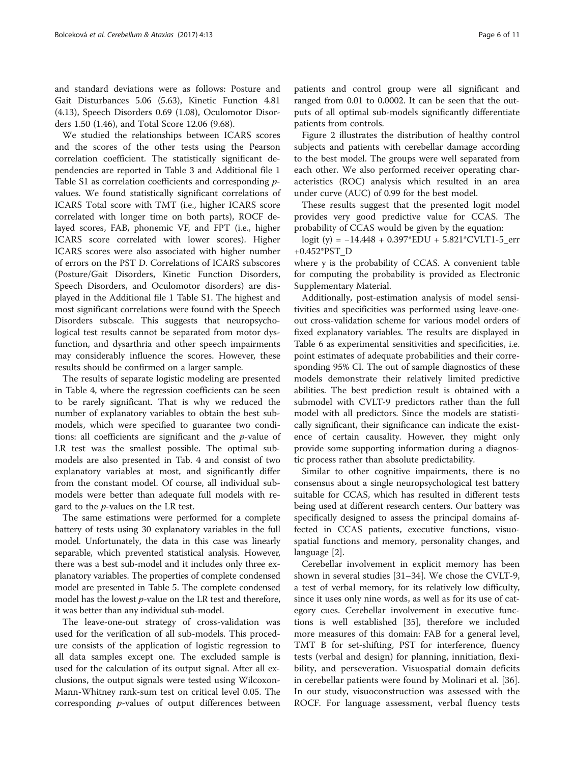and standard deviations were as follows: Posture and Gait Disturbances 5.06 (5.63), Kinetic Function 4.81 (4.13), Speech Disorders 0.69 (1.08), Oculomotor Disorders 1.50 (1.46), and Total Score 12.06 (9.68).

We studied the relationships between ICARS scores and the scores of the other tests using the Pearson correlation coefficient. The statistically significant dependencies are reported in Table [3](#page-4-0) and Additional file [1](#page-8-0) Table S1 as correlation coefficients and corresponding pvalues. We found statistically significant correlations of ICARS Total score with TMT (i.e., higher ICARS score correlated with longer time on both parts), ROCF delayed scores, FAB, phonemic VF, and FPT (i.e., higher ICARS score correlated with lower scores). Higher ICARS scores were also associated with higher number of errors on the PST D. Correlations of ICARS subscores (Posture/Gait Disorders, Kinetic Function Disorders, Speech Disorders, and Oculomotor disorders) are displayed in the Additional file [1](#page-8-0) Table S1. The highest and most significant correlations were found with the Speech Disorders subscale. This suggests that neuropsychological test results cannot be separated from motor dysfunction, and dysarthria and other speech impairments may considerably influence the scores. However, these results should be confirmed on a larger sample.

The results of separate logistic modeling are presented in Table [4](#page-6-0), where the regression coefficients can be seen to be rarely significant. That is why we reduced the number of explanatory variables to obtain the best submodels, which were specified to guarantee two conditions: all coefficients are significant and the p-value of LR test was the smallest possible. The optimal submodels are also presented in Tab. 4 and consist of two explanatory variables at most, and significantly differ from the constant model. Of course, all individual submodels were better than adequate full models with regard to the p-values on the LR test.

The same estimations were performed for a complete battery of tests using 30 explanatory variables in the full model. Unfortunately, the data in this case was linearly separable, which prevented statistical analysis. However, there was a best sub-model and it includes only three explanatory variables. The properties of complete condensed model are presented in Table [5](#page-7-0). The complete condensed model has the lowest  $p$ -value on the LR test and therefore, it was better than any individual sub-model.

The leave-one-out strategy of cross-validation was used for the verification of all sub-models. This procedure consists of the application of logistic regression to all data samples except one. The excluded sample is used for the calculation of its output signal. After all exclusions, the output signals were tested using Wilcoxon-Mann-Whitney rank-sum test on critical level 0.05. The corresponding p-values of output differences between

patients and control group were all significant and ranged from 0.01 to 0.0002. It can be seen that the outputs of all optimal sub-models significantly differentiate patients from controls.

Figure [2](#page-7-0) illustrates the distribution of healthy control subjects and patients with cerebellar damage according to the best model. The groups were well separated from each other. We also performed receiver operating characteristics (ROC) analysis which resulted in an area under curve (AUC) of 0.99 for the best model.

These results suggest that the presented logit model provides very good predictive value for CCAS. The probability of CCAS would be given by the equation:

logit (y) =  $-14.448 + 0.397*EDU + 5.821*CVLT1-5_error$ +0.452\*PST\_D

where y is the probability of CCAS. A convenient table for computing the probability is provided as Electronic Supplementary Material.

Additionally, post-estimation analysis of model sensitivities and specificities was performed using leave-oneout cross-validation scheme for various model orders of fixed explanatory variables. The results are displayed in Table [6](#page-8-0) as experimental sensitivities and specificities, i.e. point estimates of adequate probabilities and their corresponding 95% CI. The out of sample diagnostics of these models demonstrate their relatively limited predictive abilities. The best prediction result is obtained with a submodel with CVLT-9 predictors rather than the full model with all predictors. Since the models are statistically significant, their significance can indicate the existence of certain causality. However, they might only provide some supporting information during a diagnostic process rather than absolute predictability.

Similar to other cognitive impairments, there is no consensus about a single neuropsychological test battery suitable for CCAS, which has resulted in different tests being used at different research centers. Our battery was specifically designed to assess the principal domains affected in CCAS patients, executive functions, visuospatial functions and memory, personality changes, and language [[2\]](#page-9-0).

Cerebellar involvement in explicit memory has been shown in several studies [\[31](#page-9-0)–[34\]](#page-10-0). We chose the CVLT-9, a test of verbal memory, for its relatively low difficulty, since it uses only nine words, as well as for its use of category cues. Cerebellar involvement in executive functions is well established [[35\]](#page-10-0), therefore we included more measures of this domain: FAB for a general level, TMT B for set-shifting, PST for interference, fluency tests (verbal and design) for planning, innitiation, flexibility, and perseveration. Visuospatial domain deficits in cerebellar patients were found by Molinari et al. [\[36](#page-10-0)]. In our study, visuoconstruction was assessed with the ROCF. For language assessment, verbal fluency tests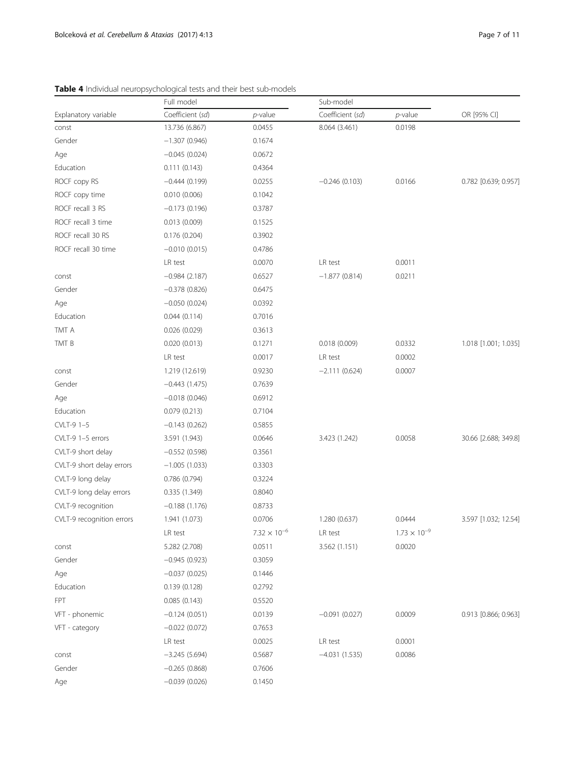<span id="page-6-0"></span>

|                      | Full model       |            | Sub-model        |            |                      |
|----------------------|------------------|------------|------------------|------------|----------------------|
| Explanatory variable | Coefficient (sd) | $p$ -value | Coefficient (sd) | $p$ -value | OR [95% CI]          |
| const                | 13.736 (6.867)   | 0.0455     | 8.064 (3.461)    | 0.0198     |                      |
| Gender               | $-1.307(0.946)$  | 0.1674     |                  |            |                      |
| Age                  | $-0.045(0.024)$  | 0.0672     |                  |            |                      |
| Education            | 0.111(0.143)     | 0.4364     |                  |            |                      |
| ROCF copy RS         | $-0.444(0.199)$  | 0.0255     | $-0.246(0.103)$  | 0.0166     | 0.782 [0.639; 0.957] |
| ROCF copy time       | 0.010(0.006)     | 0.1042     |                  |            |                      |
| ROCF recall 3 RS     | $-0.173(0.196)$  | 0.3787     |                  |            |                      |
| ROCF recall 3 time   | 0.013(0.009)     | 0.1525     |                  |            |                      |
| ROCF recall 30 RS    | 0.176(0.204)     | 0.3902     |                  |            |                      |
| ROCF recall 30 time  | $-0.010(0.015)$  | 0.4786     |                  |            |                      |
|                      | LR test          | 0.0070     | LR test          | 0.0011     |                      |
| const                | $-0.984(2.187)$  | 0.6527     | $-1.877(0.814)$  | 0.0211     |                      |
| Gender               | $-0.378(0.826)$  | 0.6475     |                  |            |                      |
| Age                  | $-0.050(0.024)$  | 0.0392     |                  |            |                      |
| Education            | 0.044(0.114)     | 0.7016     |                  |            |                      |

Table 4 Individual neuropsychological

| ROCF recall 30 time       | $-0.010(0.015)$ | 0.4786                |                 |                       |                      |
|---------------------------|-----------------|-----------------------|-----------------|-----------------------|----------------------|
|                           | LR test         | 0.0070                | LR test         | 0.0011                |                      |
| const                     | $-0.984(2.187)$ | 0.6527                | $-1.877(0.814)$ | 0.0211                |                      |
| Gender                    | $-0.378(0.826)$ | 0.6475                |                 |                       |                      |
| Age                       | $-0.050(0.024)$ | 0.0392                |                 |                       |                      |
| Education                 | 0.044(0.114)    | 0.7016                |                 |                       |                      |
| TMT A                     | 0.026(0.029)    | 0.3613                |                 |                       |                      |
| TMT B                     | 0.020(0.013)    | 0.1271                | 0.018(0.009)    | 0.0332                | 1.018 [1.001; 1.035] |
|                           | LR test         | 0.0017                | LR test         | 0.0002                |                      |
| const                     | 1.219 (12.619)  | 0.9230                | $-2.111(0.624)$ | 0.0007                |                      |
| Gender                    | $-0.443(1.475)$ | 0.7639                |                 |                       |                      |
| Age                       | $-0.018(0.046)$ | 0.6912                |                 |                       |                      |
| Education                 | 0.079(0.213)    | 0.7104                |                 |                       |                      |
| CVLT-9 1-5                | $-0.143(0.262)$ | 0.5855                |                 |                       |                      |
| CVLT-9 1-5 errors         | 3.591 (1.943)   | 0.0646                | 3.423 (1.242)   | 0.0058                | 30.66 [2.688; 349.8] |
| CVLT-9 short delay        | $-0.552(0.598)$ | 0.3561                |                 |                       |                      |
| CVLT-9 short delay errors | $-1.005(1.033)$ | 0.3303                |                 |                       |                      |
| CVLT-9 long delay         | 0.786(0.794)    | 0.3224                |                 |                       |                      |
| CVLT-9 long delay errors  | 0.335(1.349)    | 0.8040                |                 |                       |                      |
| CVLT-9 recognition        | $-0.188(1.176)$ | 0.8733                |                 |                       |                      |
| CVLT-9 recognition errors | 1.941 (1.073)   | 0.0706                | 1.280 (0.637)   | 0.0444                | 3.597 [1.032; 12.54] |
|                           | LR test         | $7.32 \times 10^{-6}$ | LR test         | $1.73 \times 10^{-9}$ |                      |
| const                     | 5.282 (2.708)   | 0.0511                | 3.562 (1.151)   | 0.0020                |                      |
| Gender                    | $-0.945(0.923)$ | 0.3059                |                 |                       |                      |
| Age                       | $-0.037(0.025)$ | 0.1446                |                 |                       |                      |
| Education                 | 0.139(0.128)    | 0.2792                |                 |                       |                      |
| <b>FPT</b>                | 0.085(0.143)    | 0.5520                |                 |                       |                      |
| VFT - phonemic            | $-0.124(0.051)$ | 0.0139                | $-0.091(0.027)$ | 0.0009                | 0.913 [0.866; 0.963] |
| VFT - category            | $-0.022(0.072)$ | 0.7653                |                 |                       |                      |
|                           | LR test         | 0.0025                | LR test         | 0.0001                |                      |
| const                     | $-3.245(5.694)$ | 0.5687                | $-4.031(1.535)$ | 0.0086                |                      |
| Gender                    | $-0.265(0.868)$ | 0.7606                |                 |                       |                      |
| Age                       | $-0.039(0.026)$ | 0.1450                |                 |                       |                      |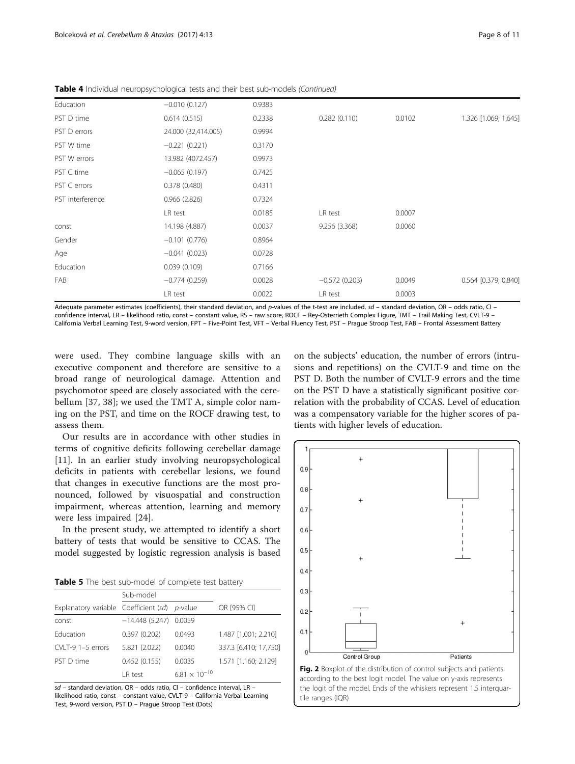| Education        | $-0.010(0.127)$     | 0.9383 |                 |        |                      |
|------------------|---------------------|--------|-----------------|--------|----------------------|
| PST D time       | 0.614(0.515)        | 0.2338 | 0.282(0.110)    | 0.0102 | 1.326 [1.069; 1.645] |
| PST D errors     | 24.000 (32,414.005) | 0.9994 |                 |        |                      |
| PST W time       | $-0.221(0.221)$     | 0.3170 |                 |        |                      |
| PST W errors     | 13.982 (4072.457)   | 0.9973 |                 |        |                      |
| PST C time       | $-0.065(0.197)$     | 0.7425 |                 |        |                      |
| PST C errors     | 0.378(0.480)        | 0.4311 |                 |        |                      |
| PST interference | 0.966(2.826)        | 0.7324 |                 |        |                      |
|                  | LR test             | 0.0185 | LR test         | 0.0007 |                      |
| const            | 14.198 (4.887)      | 0.0037 | 9.256 (3.368)   | 0.0060 |                      |
| Gender           | $-0.101(0.776)$     | 0.8964 |                 |        |                      |
| Age              | $-0.041(0.023)$     | 0.0728 |                 |        |                      |
| Education        | 0.039(0.109)        | 0.7166 |                 |        |                      |
| FAB              | $-0.774(0.259)$     | 0.0028 | $-0.572(0.203)$ | 0.0049 | 0.564 [0.379; 0.840] |
|                  | LR test             | 0.0022 | LR test         | 0.0003 |                      |

<span id="page-7-0"></span>Table 4 Individual neuropsychological tests and their best sub-models (Continued)

Adequate parameter estimates (coefficients), their standard deviation, and p-values of the t-test are included. sd - standard deviation, OR - odds ratio, CI confidence interval, LR – likelihood ratio, const – constant value, RS – raw score, ROCF – Rey-Osterrieth Complex Figure, TMT – Trail Making Test, CVLT-9 – California Verbal Learning Test, 9-word version, FPT – Five-Point Test, VFT – Verbal Fluency Test, PST – Prague Stroop Test, FAB – Frontal Assessment Battery

were used. They combine language skills with an executive component and therefore are sensitive to a broad range of neurological damage. Attention and psychomotor speed are closely associated with the cerebellum [[37, 38\]](#page-10-0); we used the TMT A, simple color naming on the PST, and time on the ROCF drawing test, to assess them.

Our results are in accordance with other studies in terms of cognitive deficits following cerebellar damage [[11\]](#page-9-0). In an earlier study involving neuropsychological deficits in patients with cerebellar lesions, we found that changes in executive functions are the most pronounced, followed by visuospatial and construction impairment, whereas attention, learning and memory were less impaired [\[24](#page-9-0)].

In the present study, we attempted to identify a short battery of tests that would be sensitive to CCAS. The model suggested by logistic regression analysis is based

Table 5 The best sub-model of complete test battery

|                                               | Sub-model        |                        |                       |
|-----------------------------------------------|------------------|------------------------|-----------------------|
| Explanatory variable Coefficient (sd) p-value |                  |                        | OR [95% CI]           |
| const                                         | $-14.448(5.247)$ | 0.0059                 |                       |
| Fducation                                     | 0.397(0.202)     | 0.0493                 | 1.487 [1.001; 2.210]  |
| CVLT-9 1-5 errors                             | 5.821 (2.022)    | 0.0040                 | 337.3 [6.410: 17.750] |
| PST D time                                    | 0.452(0.155)     | 0.0035                 | 1.571 [1.160; 2.129]  |
|                                               | I R test         | $6.81 \times 10^{-10}$ |                       |

sd – standard deviation, OR – odds ratio, CI – confidence interval, LR – likelihood ratio, const – constant value, CVLT-9 – California Verbal Learning Test, 9-word version, PST D – Prague Stroop Test (Dots)

on the subjects' education, the number of errors (intrusions and repetitions) on the CVLT-9 and time on the PST D. Both the number of CVLT-9 errors and the time on the PST D have a statistically significant positive correlation with the probability of CCAS. Level of education was a compensatory variable for the higher scores of patients with higher levels of education.



Fig. 2 Boxplot of the distribution of control subjects and patients according to the best logit model. The value on y-axis represents the logit of the model. Ends of the whiskers represent 1.5 interquartile ranges (IQR)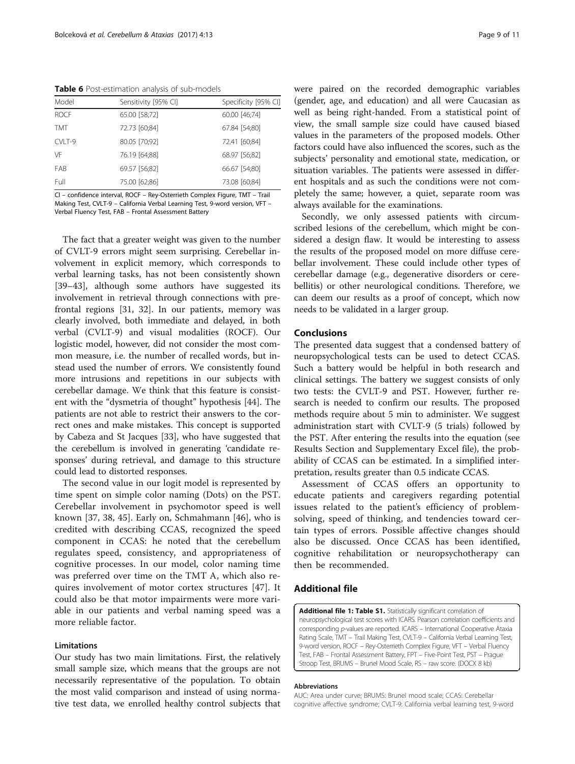<span id="page-8-0"></span>Table 6 Post-estimation analysis of sub-models

| Model       | Sensitivity [95% CI] | Specificity [95% CI] |
|-------------|----------------------|----------------------|
| <b>ROCF</b> | 65.00 [58;72]        | 60.00 [46;74]        |
| <b>TMT</b>  | 72.73 [60;84]        | 67.84 [54;80]        |
| CVLT-9      | 80.05 [70;92]        | 72.41 [60;84]        |
| VF          | 76.19 [64;88]        | 68.97 [56;82]        |
| FAB         | 69.57 [56;82]        | 66.67 [54;80]        |
| Full        | 75.00 [62;86]        | 73.08 [60;84]        |

CI – confidence interval, ROCF – Rey-Osterrieth Complex Figure, TMT – Trail Making Test, CVLT-9 – California Verbal Learning Test, 9-word version, VFT – Verbal Fluency Test, FAB – Frontal Assessment Battery

The fact that a greater weight was given to the number of CVLT-9 errors might seem surprising. Cerebellar involvement in explicit memory, which corresponds to verbal learning tasks, has not been consistently shown [[39](#page-10-0)–[43](#page-10-0)], although some authors have suggested its involvement in retrieval through connections with prefrontal regions [[31, 32\]](#page-9-0). In our patients, memory was clearly involved, both immediate and delayed, in both verbal (CVLT-9) and visual modalities (ROCF). Our logistic model, however, did not consider the most common measure, i.e. the number of recalled words, but instead used the number of errors. We consistently found more intrusions and repetitions in our subjects with cerebellar damage. We think that this feature is consistent with the "dysmetria of thought" hypothesis [\[44\]](#page-10-0). The patients are not able to restrict their answers to the correct ones and make mistakes. This concept is supported by Cabeza and St Jacques [\[33\]](#page-10-0), who have suggested that the cerebellum is involved in generating 'candidate responses' during retrieval, and damage to this structure could lead to distorted responses.

The second value in our logit model is represented by time spent on simple color naming (Dots) on the PST. Cerebellar involvement in psychomotor speed is well known [\[37](#page-10-0), [38, 45](#page-10-0)]. Early on, Schmahmann [[46\]](#page-10-0), who is credited with describing CCAS, recognized the speed component in CCAS: he noted that the cerebellum regulates speed, consistency, and appropriateness of cognitive processes. In our model, color naming time was preferred over time on the TMT A, which also requires involvement of motor cortex structures [\[47](#page-10-0)]. It could also be that motor impairments were more variable in our patients and verbal naming speed was a more reliable factor.

### Limitations

Our study has two main limitations. First, the relatively small sample size, which means that the groups are not necessarily representative of the population. To obtain the most valid comparison and instead of using normative test data, we enrolled healthy control subjects that

were paired on the recorded demographic variables (gender, age, and education) and all were Caucasian as well as being right-handed. From a statistical point of view, the small sample size could have caused biased values in the parameters of the proposed models. Other factors could have also influenced the scores, such as the subjects' personality and emotional state, medication, or situation variables. The patients were assessed in different hospitals and as such the conditions were not completely the same; however, a quiet, separate room was always available for the examinations.

Secondly, we only assessed patients with circumscribed lesions of the cerebellum, which might be considered a design flaw. It would be interesting to assess the results of the proposed model on more diffuse cerebellar involvement. These could include other types of cerebellar damage (e.g., degenerative disorders or cerebellitis) or other neurological conditions. Therefore, we can deem our results as a proof of concept, which now needs to be validated in a larger group.

#### Conclusions

The presented data suggest that a condensed battery of neuropsychological tests can be used to detect CCAS. Such a battery would be helpful in both research and clinical settings. The battery we suggest consists of only two tests: the CVLT-9 and PST. However, further research is needed to confirm our results. The proposed methods require about 5 min to administer. We suggest administration start with CVLT-9 (5 trials) followed by the PST. After entering the results into the equation (see Results Section and Supplementary Excel file), the probability of CCAS can be estimated. In a simplified interpretation, results greater than 0.5 indicate CCAS.

Assessment of CCAS offers an opportunity to educate patients and caregivers regarding potential issues related to the patient's efficiency of problemsolving, speed of thinking, and tendencies toward certain types of errors. Possible affective changes should also be discussed. Once CCAS has been identified, cognitive rehabilitation or neuropsychotherapy can then be recommended.

# Additional file

[Additional file 1: Table S1.](dx.doi.org/10.1186/s40673-017-0071-9) Statistically significant correlation of neuropsychological test scores with ICARS. Pearson correlation coefficients and corresponding p-values are reported. ICARS – International Cooperative Ataxia Rating Scale, TMT – Trail Making Test, CVLT-9 – California Verbal Learning Test, 9-word version, ROCF – Rey-Osterrieth Complex Figure, VFT – Verbal Fluency Test, FAB – Frontal Assessment Battery, FPT – Five-Point Test, PST – Prague Stroop Test, BRUMS – Brunel Mood Scale, RS – raw score. (DOCX 8 kb)

#### Abbreviations

AUC: Area under curve; BRUMS: Brunel mood scale; CCAS: Cerebellar cognitive affective syndrome; CVLT-9: California verbal learning test, 9-word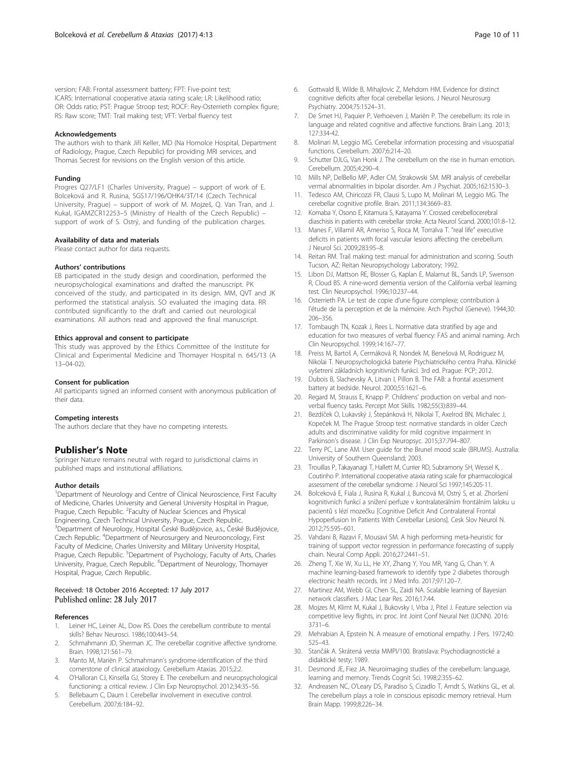<span id="page-9-0"></span>version; FAB: Frontal assessment battery; FPT: Five-point test; ICARS: International cooperative ataxia rating scale; LR: Likelihood ratio; OR: Odds ratio; PST: Prague Stroop test; ROCF: Rey-Osterrieth complex figure; RS: Raw score; TMT: Trail making test; VFT: Verbal fluency test

#### Acknowledgements

The authors wish to thank Jiří Keller, MD (Na Homolce Hospital, Department of Radiology, Prague, Czech Republic) for providing MRI services, and Thomas Secrest for revisions on the English version of this article.

#### Funding

Progres Q27/LF1 (Charles University, Prague) – support of work of E. Bolceková and R. Rusina, SGS17/196/OHK4/3T/14 (Czech Technical University, Prague) – support of work of M. Mojzeš, Q. Van Tran, and J. Kukal, IGAMZCR12253–5 (Ministry of Health of the Czech Republic) – support of work of S. Ostrý, and funding of the publication charges.

#### Availability of data and materials

Please contact author for data requests.

#### Authors' contributions

EB participated in the study design and coordination, performed the neuropsychological examinations and drafted the manuscript. PK conceived of the study, and participated in its design. MM, QVT and JK performed the statistical analysis. SO evaluated the imaging data. RR contributed significantly to the draft and carried out neurological examinations. All authors read and approved the final manuscript.

#### Ethics approval and consent to participate

This study was approved by the Ethics Committee of the Institute for Clinical and Experimental Medicine and Thomayer Hospital n. 645/13 (A 13–04-02).

#### Consent for publication

All participants signed an informed consent with anonymous publication of their data.

#### Competing interests

The authors declare that they have no competing interests.

#### Publisher's Note

Springer Nature remains neutral with regard to jurisdictional claims in published maps and institutional affiliations.

#### Author details

<sup>1</sup>Department of Neurology and Centre of Clinical Neuroscience, First Faculty of Medicine, Charles University and General University Hospital in Prague, Prague, Czech Republic. <sup>2</sup> Faculty of Nuclear Sciences and Physical Engineering, Czech Technical University, Prague, Czech Republic. <sup>3</sup>Department of Neurology, Hospital České Budějovice, a.s., České Budějovice, Czech Republic. <sup>4</sup> Department of Neurosurgery and Neurooncology, First Faculty of Medicine, Charles University and Military University Hospital, Prague, Czech Republic. <sup>5</sup>Department of Psychology, Faculty of Arts, Charles University, Prague, Czech Republic. <sup>6</sup>Department of Neurology, Thomayer Hospital, Prague, Czech Republic.

#### Received: 18 October 2016 Accepted: 17 July 2017 Published online: 28 July 2017

#### References

- 1. Leiner HC, Leiner AL, Dow RS. Does the cerebellum contribute to mental skills? Behav Neurosci. 1986;100:443–54.
- 2. Schmahmann JD, Sherman JC. The cerebellar cognitive affective syndrome. Brain. 1998;121:561–79.
- 3. Manto M, Mariën P. Schmahmann's syndrome-identification of the third cornerstone of clinical ataxiology. Cerebellum Ataxias. 2015;2:2.
- 4. O'Halloran CJ, Kinsella GJ, Storey E. The cerebellum and neuropsychological functioning: a critical review. J Clin Exp Neuropsychol. 2012;34:35–56.
- 5. Bellebaum C, Daum I. Cerebellar involvement in executive control. Cerebellum. 2007;6:184–92.
- 6. Gottwald B, Wilde B, Mihajlovic Z, Mehdorn HM. Evidence for distinct cognitive deficits after focal cerebellar lesions. J Neurol Neurosurg Psychiatry. 2004;75:1524–31.
- 7. De Smet HJ, Paquier P, Verhoeven J, Mariën P. The cerebellum: its role in language and related cognitive and affective functions. Brain Lang. 2013; 127:334-42.
- 8. Molinari M, Leggio MG. Cerebellar information processing and visuospatial functions. Cerebellum. 2007;6:214–20.
- 9. Schutter DJLG, Van Honk J. The cerebellum on the rise in human emotion. Cerebellum. 2005;4:290–4.
- 10. Mills NP, DelBello MP, Adler CM, Strakowski SM. MRI analysis of cerebellar vermal abnormalities in bipolar disorder. Am J Psychiat. 2005;162:1530–3.
- 11. Tedesco AM, Chiricozzi FR, Clausi S, Lupo M, Molinari M, Leggio MG. The cerebellar cognitive profile. Brain. 2011;134:3669–83.
- 12. Komaba Y, Osono E, Kitamura S, Katayama Y. Crossed cerebellocerebral diaschisis in patients with cerebellar stroke. Acta Neurol Scand. 2000;101:8–12.
- 13. Manes F, Villamil AR, Ameriso S, Roca M, Torralva T. "real life" executive deficits in patients with focal vascular lesions affecting the cerebellum. J Neurol Sci. 2009;283:95–8.
- 14. Reitan RM. Trail making test: manual for administration and scoring. South Tucson, AZ: Reitan Neuropsychology Laboratory; 1992.
- 15. Libon DJ, Mattson RE, Blosser G, Kaplan E, Malamut BL, Sands LP, Swenson R, Cloud BS. A nine-word dementia version of the California verbal learning test. Clin Neuropsychol. 1996;10:237–44.
- 16. Osterrieth PA. Le test de copie d'une figure complexe; contribution à l'étude de la perception et de la mémoire. Arch Psychol (Geneve). 1944;30: 206–356.
- 17. Tombaugh TN, Kozak J, Rees L. Normative data stratified by age and education for two measures of verbal fluency: FAS and animal naming. Arch Clin Neuropsychol. 1999;14:167–77.
- 18. Preiss M, Bartoš A, Cermáková R, Nondek M, Benešová M, Rodriguez M, Nikolai T. Neuropsychologická baterie Psychiatrického centra Praha. Klinické vyšetrení základních kognitivních funkcí. 3rd ed. Prague: PCP; 2012.
- 19. Dubois B, Slachevsky A, Litvan I, Pillon B. The FAB: a frontal assessment battery at bedside. Neurol. 2000;55:1621–6.
- 20. Regard M, Strauss E, Knapp P. Childrens' production on verbal and nonverbal fluency tasks. Percept Mot Skills. 1982;55(3):839–44.
- 21. Bezdíček O, Lukavský J, Štepánková H, Nikolai T, Axelrod BN, Michalec J, Kopeček M. The Prague Stroop test: normative standards in older Czech adults and discriminative validity for mild cognitive impairment in Parkinson's disease. J Clin Exp Neuropsyc. 2015;37:794–807.
- 22. Terry PC, Lane AM. User guide for the Brunel mood scale (BRUMS). Australia: University of Southern Queensland; 2003.
- 23. Trouillas P, Takayanagi T, Hallett M, Currier RD, Subramony SH, Wessel K, . Coutinho P. International cooperative ataxia rating scale for pharmacological assessment of the cerebellar syndrome. J Neurol Sci 1997;145:205-11.
- 24. Bolceková E, Fiala J, Rusina R, Kukal J, Buncová M, Ostrý S, et al. Zhoršení kognitivních funkcí a snížení perfuze v kontralaterálním frontálním laloku u pacientů s lézí mozečku [Cognitive Deficit And Contralateral Frontal Hypoperfusion In Patients With Cerebellar Lesions]. Cesk Slov Neurol N. 2012;75:595–601.
- 25. Vahdani B, Razavi F, Mousavi SM. A high performing meta-heuristic for training of support vector regression in performance forecasting of supply chain. Neural Comp Appli. 2016;27:2441–51.
- 26. Zheng T, Xie W, Xu LL, He XY, Zhang Y, You MR, Yang G, Chan Y. A machine learning-based framework to identify type 2 diabetes thorough electronic health records. Int J Med Info. 2017;97:120–7.
- 27. Martinez AM, Webb GI, Chen SL, Zaidi NA. Scalable learning of Bayesian network classifiers. J Mac Lear Res. 2016;17:44.
- 28. Mojzes M, Klimt M, Kukal J, Bukovsky I, Vrba J, Pitel J. Feature selection via competitive levy flights, in: proc. Int Joint Conf Neural Net (IJCNN). 2016: 3731–6.
- 29. Mehrabian A, Epstein N. A measure of emotional empathy. J Pers. 1972;40: 525–43.
- 30. Stančák A. Skrátená verzia MMPI/100. Bratislava: Psychodiagnostické a didaktické testy; 1989.
- 31. Desmond JE, Fiez JA. Neuroimaging studies of the cerebellum: language, learning and memory. Trends Cognit Sci. 1998;2:355–62.
- 32. Andreasen NC, O'Leary DS, Paradiso S, Cizadlo T, Arndt S, Watkins GL, et al. The cerebellum plays a role in conscious episodic memory retrieval. Hum Brain Mapp. 1999;8:226–34.